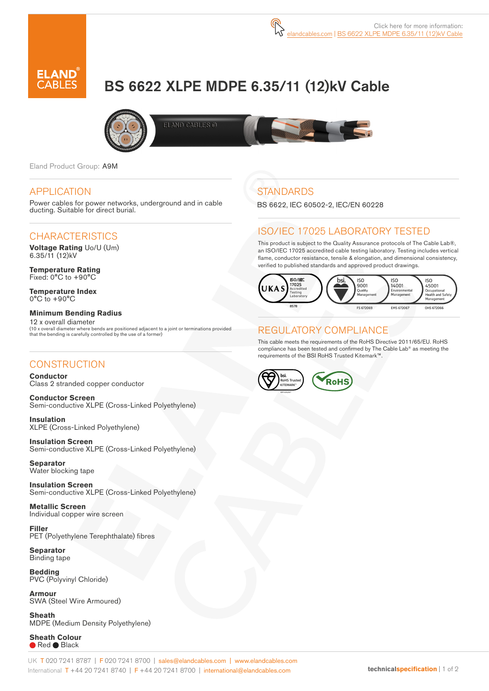# BS 6622 XLPE MDPE 6.35/11 (12)kV Cable



Eland Product Group: A9M

#### APPLICATION

Power cables for power networks, underground and in cable ducting. Suitable for direct burial.

#### **CHARACTERISTICS**

**Voltage Rating** Uo/U (Um) 6.35/11 (12)kV

**Temperature Rating** Fixed: 0°C to +90°C

**Temperature Index** 0°C to +90°C

#### **Minimum Bending Radius**

12 x overall diameter (10 x overall diameter where bends are positioned adjacent to a joint or terminations provided that the bending is carefully controlled by the use of a former)

#### **CONSTRUCTION**

**Conductor** Class 2 stranded copper conductor

**Conductor Screen** Semi-conductive XLPE (Cross-Linked Polyethylene)

**Insulation** XLPE (Cross-Linked Polyethylene)

**Insulation Screen** Semi-conductive XLPE (Cross-Linked Polyethylene)

**Separator** Water blocking tape

**Insulation Screen** Semi-conductive XLPE (Cross-Linked Polyethylene)

**Metallic Screen**  Individual copper wire screen

**Filler** PET (Polyethylene Terephthalate) fibres

**Separator** Binding tape

**Bedding** PVC (Polyvinyl Chloride)

**Armour** SWA (Steel Wire Armoured)

**Sheath** MDPE (Medium Density Polyethylene)

**Sheath Colour** ● Red ● Black



## **STANDARDS**

BS 6622, IEC 60502-2, IEC/EN 60228

#### ISO/IEC 17025 LABORATORY TESTED

This product is subject to the Quality Assurance protocols of The Cable Lab®, an ISO/IEC 17025 accredited cable testing laboratory. Testing includes vertical flame, conductor resistance, tensile & elongation, and dimensional consistency, verified to published standards and approved product drawings.



### REGULATORY COMPLIANCE

This cable meets the requirements of the RoHS Directive 2011/65/EU. RoHS compliance has been tested and confirmed by The Cable Lab® as meeting the requirements of the BSI RoHS Trusted Kitemark™.